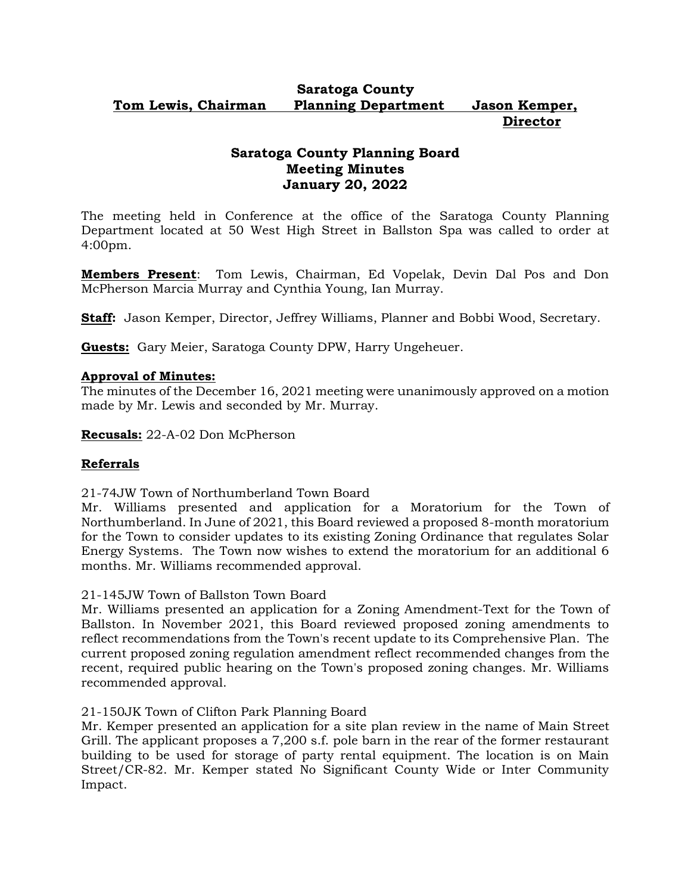## **Saratoga County Tom Lewis, Chairman Planning Department Jason Kemper, Director**

# **Saratoga County Planning Board Meeting Minutes January 20, 2022**

The meeting held in Conference at the office of the Saratoga County Planning Department located at 50 West High Street in Ballston Spa was called to order at 4:00pm.

**Members Present**: Tom Lewis, Chairman, Ed Vopelak, Devin Dal Pos and Don McPherson Marcia Murray and Cynthia Young, Ian Murray.

**Staff:** Jason Kemper, Director, Jeffrey Williams, Planner and Bobbi Wood, Secretary.

**Guests:** Gary Meier, Saratoga County DPW, Harry Ungeheuer.

## **Approval of Minutes:**

The minutes of the December 16, 2021 meeting were unanimously approved on a motion made by Mr. Lewis and seconded by Mr. Murray.

**Recusals:** 22-A-02 Don McPherson

## **Referrals**

21-74JW Town of Northumberland Town Board

Mr. Williams presented and application for a Moratorium for the Town of Northumberland. In June of 2021, this Board reviewed a proposed 8-month moratorium for the Town to consider updates to its existing Zoning Ordinance that regulates Solar Energy Systems. The Town now wishes to extend the moratorium for an additional 6 months. Mr. Williams recommended approval.

21-145JW Town of Ballston Town Board

Mr. Williams presented an application for a Zoning Amendment-Text for the Town of Ballston. In November 2021, this Board reviewed proposed zoning amendments to reflect recommendations from the Town's recent update to its Comprehensive Plan. The current proposed zoning regulation amendment reflect recommended changes from the recent, required public hearing on the Town's proposed zoning changes. Mr. Williams recommended approval.

#### 21-150JK Town of Clifton Park Planning Board

Mr. Kemper presented an application for a site plan review in the name of Main Street Grill. The applicant proposes a 7,200 s.f. pole barn in the rear of the former restaurant building to be used for storage of party rental equipment. The location is on Main Street/CR-82. Mr. Kemper stated No Significant County Wide or Inter Community Impact.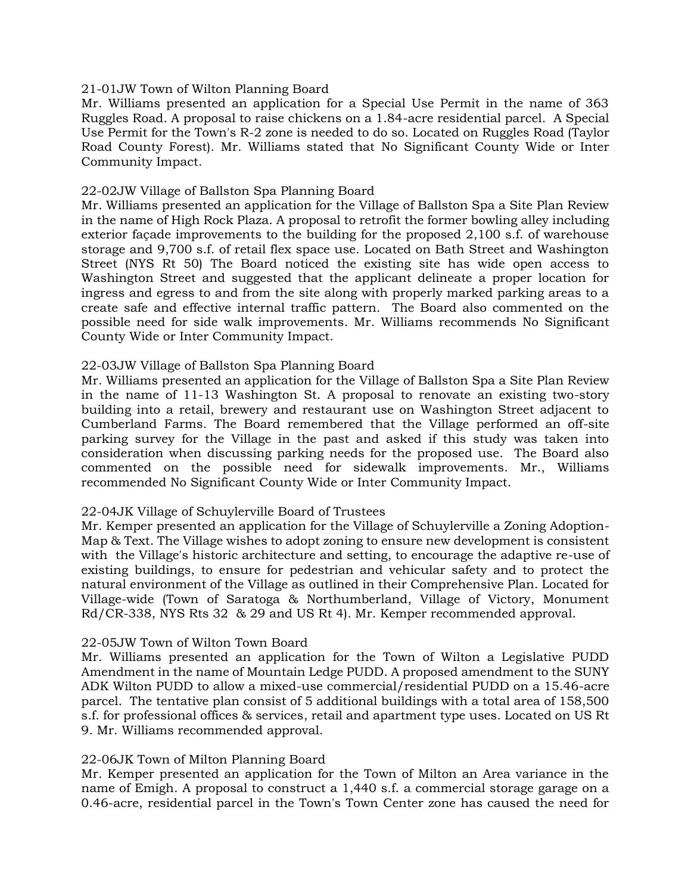#### 21-01JW Town of Wilton Planning Board

Mr. Williams presented an application for a Special Use Permit in the name of 363 Ruggles Road. A proposal to raise chickens on a 1.84-acre residential parcel. A Special Use Permit for the Town's R-2 zone is needed to do so. Located on Ruggles Road (Taylor Road County Forest). Mr. Williams stated that No Significant County Wide or Inter Community Impact.

#### 22-02JW Village of Ballston Spa Planning Board

Mr. Williams presented an application for the Village of Ballston Spa a Site Plan Review in the name of High Rock Plaza. A proposal to retrofit the former bowling alley including exterior façade improvements to the building for the proposed 2,100 s.f. of warehouse storage and 9,700 s.f. of retail flex space use. Located on Bath Street and Washington Street (NYS Rt 50) The Board noticed the existing site has wide open access to Washington Street and suggested that the applicant delineate a proper location for ingress and egress to and from the site along with properly marked parking areas to a create safe and effective internal traffic pattern. The Board also commented on the possible need for side walk improvements. Mr. Williams recommends No Significant County Wide or Inter Community Impact.

## 22-03JW Village of Ballston Spa Planning Board

Mr. Williams presented an application for the Village of Ballston Spa a Site Plan Review in the name of 11-13 Washington St. A proposal to renovate an existing two-story building into a retail, brewery and restaurant use on Washington Street adjacent to Cumberland Farms. The Board remembered that the Village performed an off-site parking survey for the Village in the past and asked if this study was taken into consideration when discussing parking needs for the proposed use. The Board also commented on the possible need for sidewalk improvements. Mr., Williams recommended No Significant County Wide or Inter Community Impact.

#### 22-04JK Village of Schuylerville Board of Trustees

Mr. Kemper presented an application for the Village of Schuylerville a Zoning Adoption-Map & Text. The Village wishes to adopt zoning to ensure new development is consistent with the Village's historic architecture and setting, to encourage the adaptive re-use of existing buildings, to ensure for pedestrian and vehicular safety and to protect the natural environment of the Village as outlined in their Comprehensive Plan. Located for Village-wide (Town of Saratoga & Northumberland, Village of Victory, Monument Rd/CR-338, NYS Rts 32 & 29 and US Rt 4). Mr. Kemper recommended approval.

#### 22-05JW Town of Wilton Town Board

Mr. Williams presented an application for the Town of Wilton a Legislative PUDD Amendment in the name of Mountain Ledge PUDD. A proposed amendment to the SUNY ADK Wilton PUDD to allow a mixed-use commercial/residential PUDD on a 15.46-acre parcel. The tentative plan consist of 5 additional buildings with a total area of 158,500 s.f. for professional offices & services, retail and apartment type uses. Located on US Rt 9. Mr. Williams recommended approval.

#### 22-06JK Town of Milton Planning Board

Mr. Kemper presented an application for the Town of Milton an Area variance in the name of Emigh. A proposal to construct a 1,440 s.f. a commercial storage garage on a 0.46-acre, residential parcel in the Town's Town Center zone has caused the need for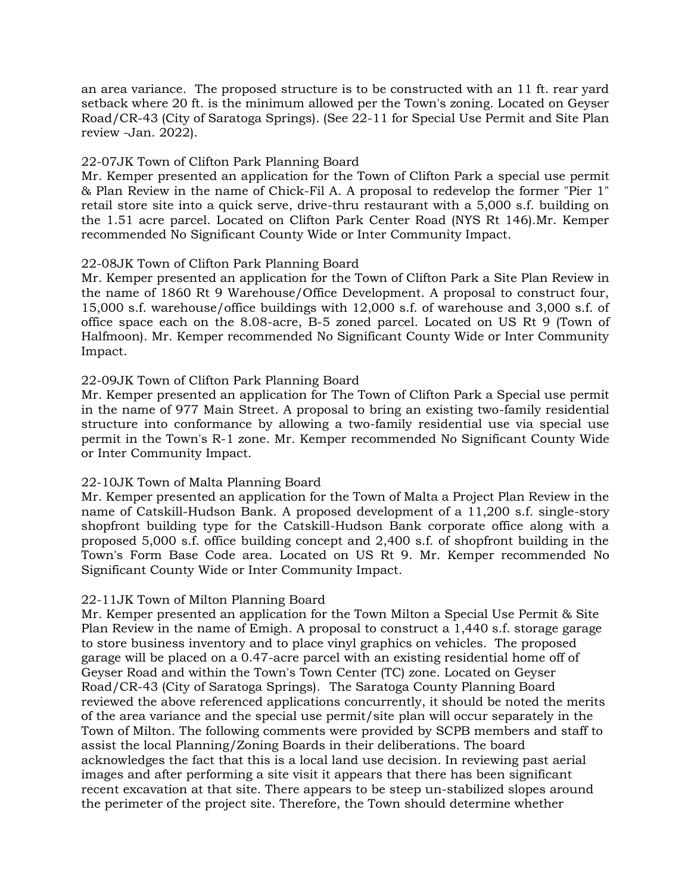an area variance. The proposed structure is to be constructed with an 11 ft. rear yard setback where 20 ft. is the minimum allowed per the Town's zoning. Located on Geyser Road/CR-43 (City of Saratoga Springs). (See 22-11 for Special Use Permit and Site Plan review -Jan. 2022).

## 22-07JK Town of Clifton Park Planning Board

Mr. Kemper presented an application for the Town of Clifton Park a special use permit & Plan Review in the name of Chick-Fil A. A proposal to redevelop the former "Pier 1" retail store site into a quick serve, drive-thru restaurant with a 5,000 s.f. building on the 1.51 acre parcel. Located on Clifton Park Center Road (NYS Rt 146).Mr. Kemper recommended No Significant County Wide or Inter Community Impact.

#### 22-08JK Town of Clifton Park Planning Board

Mr. Kemper presented an application for the Town of Clifton Park a Site Plan Review in the name of 1860 Rt 9 Warehouse/Office Development. A proposal to construct four, 15,000 s.f. warehouse/office buildings with 12,000 s.f. of warehouse and 3,000 s.f. of office space each on the 8.08-acre, B-5 zoned parcel. Located on US Rt 9 (Town of Halfmoon). Mr. Kemper recommended No Significant County Wide or Inter Community Impact.

#### 22-09JK Town of Clifton Park Planning Board

Mr. Kemper presented an application for The Town of Clifton Park a Special use permit in the name of 977 Main Street. A proposal to bring an existing two-family residential structure into conformance by allowing a two-family residential use via special use permit in the Town's R-1 zone. Mr. Kemper recommended No Significant County Wide or Inter Community Impact.

#### 22-10JK Town of Malta Planning Board

Mr. Kemper presented an application for the Town of Malta a Project Plan Review in the name of Catskill-Hudson Bank. A proposed development of a 11,200 s.f. single-story shopfront building type for the Catskill-Hudson Bank corporate office along with a proposed 5,000 s.f. office building concept and 2,400 s.f. of shopfront building in the Town's Form Base Code area. Located on US Rt 9. Mr. Kemper recommended No Significant County Wide or Inter Community Impact.

## 22-11JK Town of Milton Planning Board

Mr. Kemper presented an application for the Town Milton a Special Use Permit & Site Plan Review in the name of Emigh. A proposal to construct a 1,440 s.f. storage garage to store business inventory and to place vinyl graphics on vehicles. The proposed garage will be placed on a 0.47-acre parcel with an existing residential home off of Geyser Road and within the Town's Town Center (TC) zone. Located on Geyser Road/CR-43 (City of Saratoga Springs). The Saratoga County Planning Board reviewed the above referenced applications concurrently, it should be noted the merits of the area variance and the special use permit/site plan will occur separately in the Town of Milton. The following comments were provided by SCPB members and staff to assist the local Planning/Zoning Boards in their deliberations. The board acknowledges the fact that this is a local land use decision. In reviewing past aerial images and after performing a site visit it appears that there has been significant recent excavation at that site. There appears to be steep un-stabilized slopes around the perimeter of the project site. Therefore, the Town should determine whether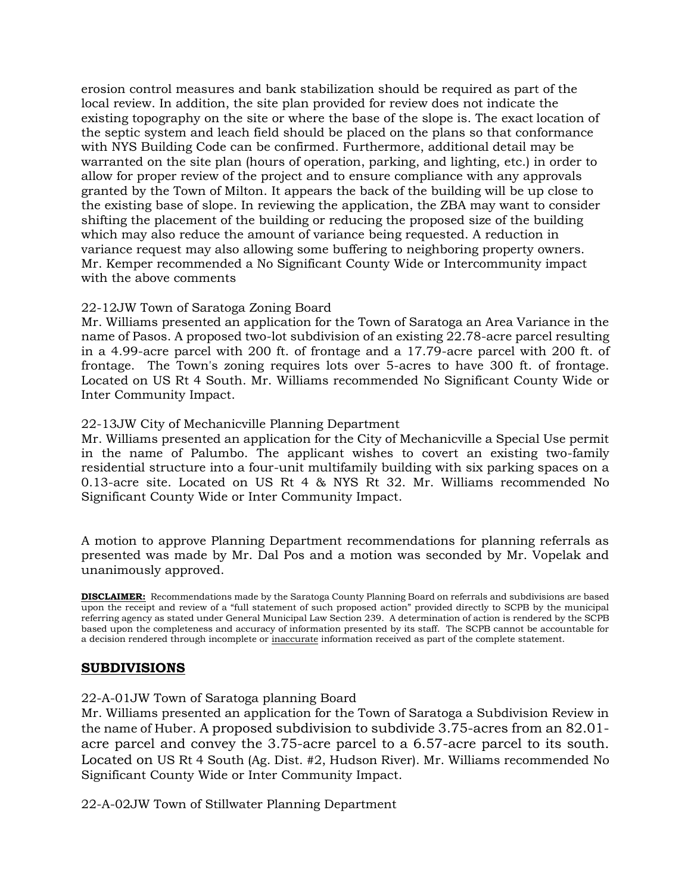erosion control measures and bank stabilization should be required as part of the local review. In addition, the site plan provided for review does not indicate the existing topography on the site or where the base of the slope is. The exact location of the septic system and leach field should be placed on the plans so that conformance with NYS Building Code can be confirmed. Furthermore, additional detail may be warranted on the site plan (hours of operation, parking, and lighting, etc.) in order to allow for proper review of the project and to ensure compliance with any approvals granted by the Town of Milton. It appears the back of the building will be up close to the existing base of slope. In reviewing the application, the ZBA may want to consider shifting the placement of the building or reducing the proposed size of the building which may also reduce the amount of variance being requested. A reduction in variance request may also allowing some buffering to neighboring property owners. Mr. Kemper recommended a No Significant County Wide or Intercommunity impact with the above comments

## 22-12JW Town of Saratoga Zoning Board

Mr. Williams presented an application for the Town of Saratoga an Area Variance in the name of Pasos. A proposed two-lot subdivision of an existing 22.78-acre parcel resulting in a 4.99-acre parcel with 200 ft. of frontage and a 17.79-acre parcel with 200 ft. of frontage. The Town's zoning requires lots over 5-acres to have 300 ft. of frontage. Located on US Rt 4 South. Mr. Williams recommended No Significant County Wide or Inter Community Impact.

## 22-13JW City of Mechanicville Planning Department

Mr. Williams presented an application for the City of Mechanicville a Special Use permit in the name of Palumbo. The applicant wishes to covert an existing two-family residential structure into a four-unit multifamily building with six parking spaces on a 0.13-acre site. Located on US Rt 4 & NYS Rt 32. Mr. Williams recommended No Significant County Wide or Inter Community Impact.

A motion to approve Planning Department recommendations for planning referrals as presented was made by Mr. Dal Pos and a motion was seconded by Mr. Vopelak and unanimously approved.

**DISCLAIMER:** Recommendations made by the Saratoga County Planning Board on referrals and subdivisions are based upon the receipt and review of a "full statement of such proposed action" provided directly to SCPB by the municipal referring agency as stated under General Municipal Law Section 239. A determination of action is rendered by the SCPB based upon the completeness and accuracy of information presented by its staff. The SCPB cannot be accountable for a decision rendered through incomplete or inaccurate information received as part of the complete statement.

## **SUBDIVISIONS**

#### 22-A-01JW Town of Saratoga planning Board

Mr. Williams presented an application for the Town of Saratoga a Subdivision Review in the name of Huber. A proposed subdivision to subdivide 3.75-acres from an 82.01 acre parcel and convey the 3.75-acre parcel to a 6.57-acre parcel to its south. Located on US Rt 4 South (Ag. Dist. #2, Hudson River). Mr. Williams recommended No Significant County Wide or Inter Community Impact.

22-A-02JW Town of Stillwater Planning Department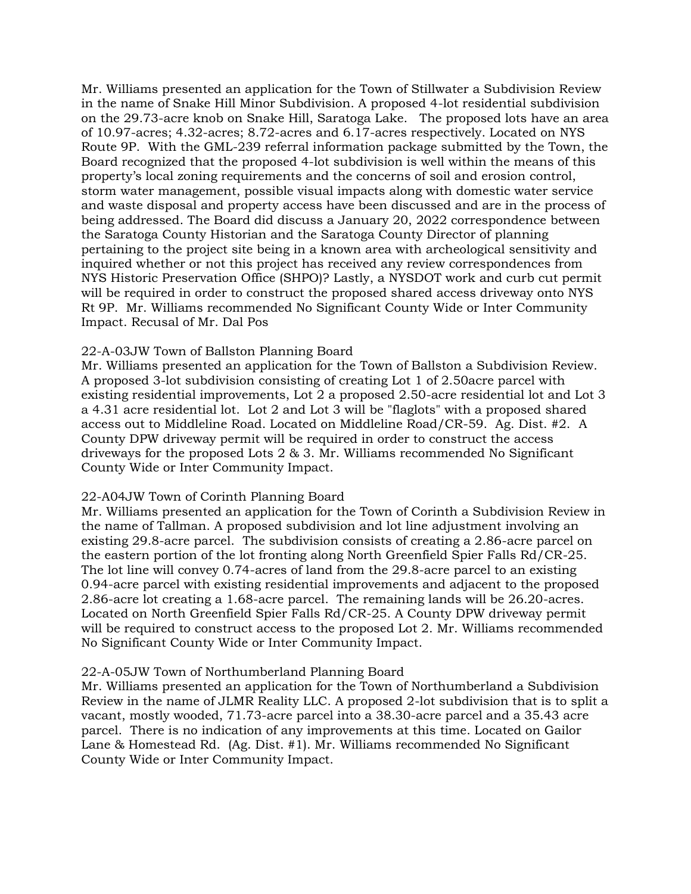Mr. Williams presented an application for the Town of Stillwater a Subdivision Review in the name of Snake Hill Minor Subdivision. A proposed 4-lot residential subdivision on the 29.73-acre knob on Snake Hill, Saratoga Lake. The proposed lots have an area of 10.97-acres; 4.32-acres; 8.72-acres and 6.17-acres respectively. Located on NYS Route 9P. With the GML-239 referral information package submitted by the Town, the Board recognized that the proposed 4-lot subdivision is well within the means of this property's local zoning requirements and the concerns of soil and erosion control, storm water management, possible visual impacts along with domestic water service and waste disposal and property access have been discussed and are in the process of being addressed. The Board did discuss a January 20, 2022 correspondence between the Saratoga County Historian and the Saratoga County Director of planning pertaining to the project site being in a known area with archeological sensitivity and inquired whether or not this project has received any review correspondences from NYS Historic Preservation Office (SHPO)? Lastly, a NYSDOT work and curb cut permit will be required in order to construct the proposed shared access driveway onto NYS Rt 9P. Mr. Williams recommended No Significant County Wide or Inter Community Impact. Recusal of Mr. Dal Pos

#### 22-A-03JW Town of Ballston Planning Board

Mr. Williams presented an application for the Town of Ballston a Subdivision Review. A proposed 3-lot subdivision consisting of creating Lot 1 of 2.50acre parcel with existing residential improvements, Lot 2 a proposed 2.50-acre residential lot and Lot 3 a 4.31 acre residential lot. Lot 2 and Lot 3 will be "flaglots" with a proposed shared access out to Middleline Road. Located on Middleline Road/CR-59. Ag. Dist. #2. A County DPW driveway permit will be required in order to construct the access driveways for the proposed Lots 2 & 3. Mr. Williams recommended No Significant County Wide or Inter Community Impact.

#### 22-A04JW Town of Corinth Planning Board

Mr. Williams presented an application for the Town of Corinth a Subdivision Review in the name of Tallman. A proposed subdivision and lot line adjustment involving an existing 29.8-acre parcel. The subdivision consists of creating a 2.86-acre parcel on the eastern portion of the lot fronting along North Greenfield Spier Falls Rd/CR-25. The lot line will convey 0.74-acres of land from the 29.8-acre parcel to an existing 0.94-acre parcel with existing residential improvements and adjacent to the proposed 2.86-acre lot creating a 1.68-acre parcel. The remaining lands will be 26.20-acres. Located on North Greenfield Spier Falls Rd/CR-25. A County DPW driveway permit will be required to construct access to the proposed Lot 2. Mr. Williams recommended No Significant County Wide or Inter Community Impact.

#### 22-A-05JW Town of Northumberland Planning Board

Mr. Williams presented an application for the Town of Northumberland a Subdivision Review in the name of JLMR Reality LLC. A proposed 2-lot subdivision that is to split a vacant, mostly wooded, 71.73-acre parcel into a 38.30-acre parcel and a 35.43 acre parcel. There is no indication of any improvements at this time. Located on Gailor Lane & Homestead Rd. (Ag. Dist. #1). Mr. Williams recommended No Significant County Wide or Inter Community Impact.